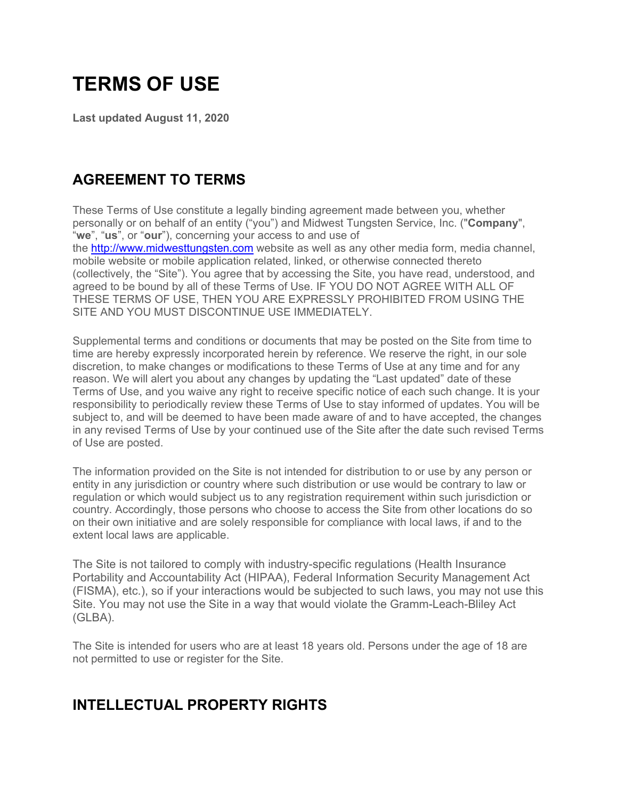# **TERMS OF USE**

**Last updated August 11, 2020**

# **AGREEMENT TO TERMS**

These Terms of Use constitute a legally binding agreement made between you, whether personally or on behalf of an entity ("you") and Midwest Tungsten Service, Inc. ("**Company**", "**we**", "**us**", or "**our**"), concerning your access to and use of the http://www.midwesttungsten.com website as well as any other media form, media channel, mobile website or mobile application related, linked, or otherwise connected thereto (collectively, the "Site"). You agree that by accessing the Site, you have read, understood, and agreed to be bound by all of these Terms of Use. IF YOU DO NOT AGREE WITH ALL OF THESE TERMS OF USE, THEN YOU ARE EXPRESSLY PROHIBITED FROM USING THE SITE AND YOU MUST DISCONTINUE USE IMMEDIATELY.

Supplemental terms and conditions or documents that may be posted on the Site from time to time are hereby expressly incorporated herein by reference. We reserve the right, in our sole discretion, to make changes or modifications to these Terms of Use at any time and for any reason. We will alert you about any changes by updating the "Last updated" date of these Terms of Use, and you waive any right to receive specific notice of each such change. It is your responsibility to periodically review these Terms of Use to stay informed of updates. You will be subject to, and will be deemed to have been made aware of and to have accepted, the changes in any revised Terms of Use by your continued use of the Site after the date such revised Terms of Use are posted.

The information provided on the Site is not intended for distribution to or use by any person or entity in any jurisdiction or country where such distribution or use would be contrary to law or regulation or which would subject us to any registration requirement within such jurisdiction or country. Accordingly, those persons who choose to access the Site from other locations do so on their own initiative and are solely responsible for compliance with local laws, if and to the extent local laws are applicable.

The Site is not tailored to comply with industry-specific regulations (Health Insurance Portability and Accountability Act (HIPAA), Federal Information Security Management Act (FISMA), etc.), so if your interactions would be subjected to such laws, you may not use this Site. You may not use the Site in a way that would violate the Gramm-Leach-Bliley Act (GLBA).

The Site is intended for users who are at least 18 years old. Persons under the age of 18 are not permitted to use or register for the Site.

## **INTELLECTUAL PROPERTY RIGHTS**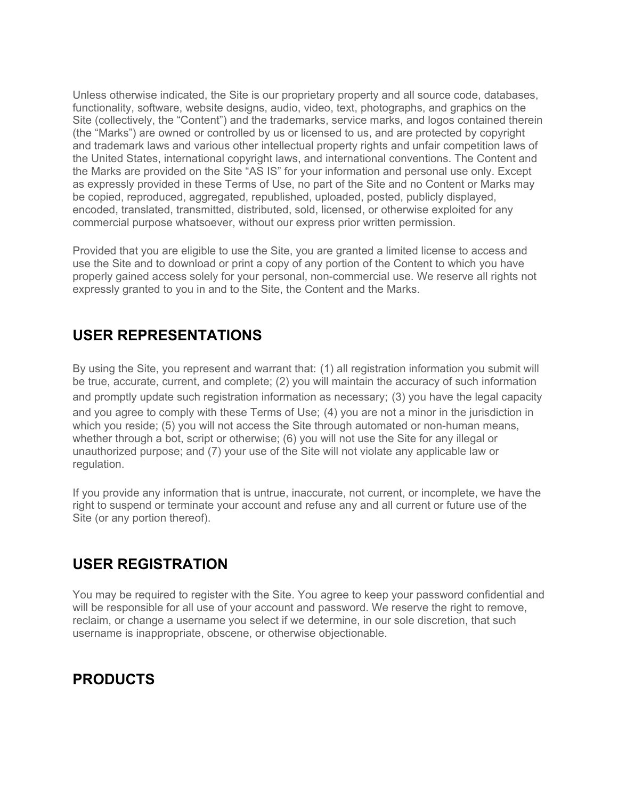Unless otherwise indicated, the Site is our proprietary property and all source code, databases, functionality, software, website designs, audio, video, text, photographs, and graphics on the Site (collectively, the "Content") and the trademarks, service marks, and logos contained therein (the "Marks") are owned or controlled by us or licensed to us, and are protected by copyright and trademark laws and various other intellectual property rights and unfair competition laws of the United States, international copyright laws, and international conventions. The Content and the Marks are provided on the Site "AS IS" for your information and personal use only. Except as expressly provided in these Terms of Use, no part of the Site and no Content or Marks may be copied, reproduced, aggregated, republished, uploaded, posted, publicly displayed, encoded, translated, transmitted, distributed, sold, licensed, or otherwise exploited for any commercial purpose whatsoever, without our express prior written permission.

Provided that you are eligible to use the Site, you are granted a limited license to access and use the Site and to download or print a copy of any portion of the Content to which you have properly gained access solely for your personal, non-commercial use. We reserve all rights not expressly granted to you in and to the Site, the Content and the Marks.

### **USER REPRESENTATIONS**

By using the Site, you represent and warrant that: (1) all registration information you submit will be true, accurate, current, and complete; (2) you will maintain the accuracy of such information and promptly update such registration information as necessary; (3) you have the legal capacity and you agree to comply with these Terms of Use; (4) you are not a minor in the jurisdiction in which you reside; (5) you will not access the Site through automated or non-human means, whether through a bot, script or otherwise; (6) you will not use the Site for any illegal or unauthorized purpose; and (7) your use of the Site will not violate any applicable law or regulation.

If you provide any information that is untrue, inaccurate, not current, or incomplete, we have the right to suspend or terminate your account and refuse any and all current or future use of the Site (or any portion thereof).

## **USER REGISTRATION**

You may be required to register with the Site. You agree to keep your password confidential and will be responsible for all use of your account and password. We reserve the right to remove, reclaim, or change a username you select if we determine, in our sole discretion, that such username is inappropriate, obscene, or otherwise objectionable.

# **PRODUCTS**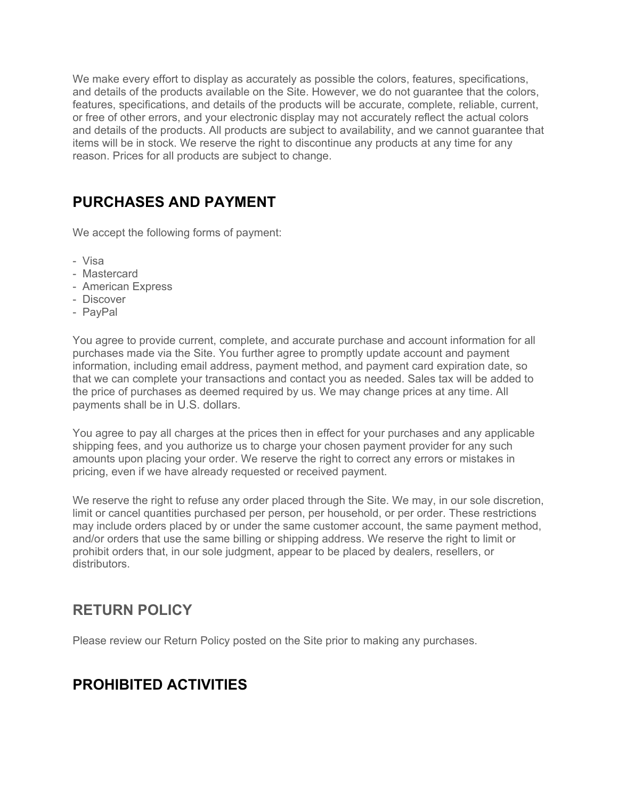We make every effort to display as accurately as possible the colors, features, specifications, and details of the products available on the Site. However, we do not guarantee that the colors, features, specifications, and details of the products will be accurate, complete, reliable, current, or free of other errors, and your electronic display may not accurately reflect the actual colors and details of the products. All products are subject to availability, and we cannot guarantee that items will be in stock. We reserve the right to discontinue any products at any time for any reason. Prices for all products are subject to change.

# **PURCHASES AND PAYMENT**

We accept the following forms of payment:

- Visa
- Mastercard
- American Express
- Discover
- PayPal

You agree to provide current, complete, and accurate purchase and account information for all purchases made via the Site. You further agree to promptly update account and payment information, including email address, payment method, and payment card expiration date, so that we can complete your transactions and contact you as needed. Sales tax will be added to the price of purchases as deemed required by us. We may change prices at any time. All payments shall be in U.S. dollars.

You agree to pay all charges at the prices then in effect for your purchases and any applicable shipping fees, and you authorize us to charge your chosen payment provider for any such amounts upon placing your order. We reserve the right to correct any errors or mistakes in pricing, even if we have already requested or received payment.

We reserve the right to refuse any order placed through the Site. We may, in our sole discretion, limit or cancel quantities purchased per person, per household, or per order. These restrictions may include orders placed by or under the same customer account, the same payment method, and/or orders that use the same billing or shipping address. We reserve the right to limit or prohibit orders that, in our sole judgment, appear to be placed by dealers, resellers, or distributors.

#### **RETURN POLICY**

Please review our Return Policy posted on the Site prior to making any purchases.

# **PROHIBITED ACTIVITIES**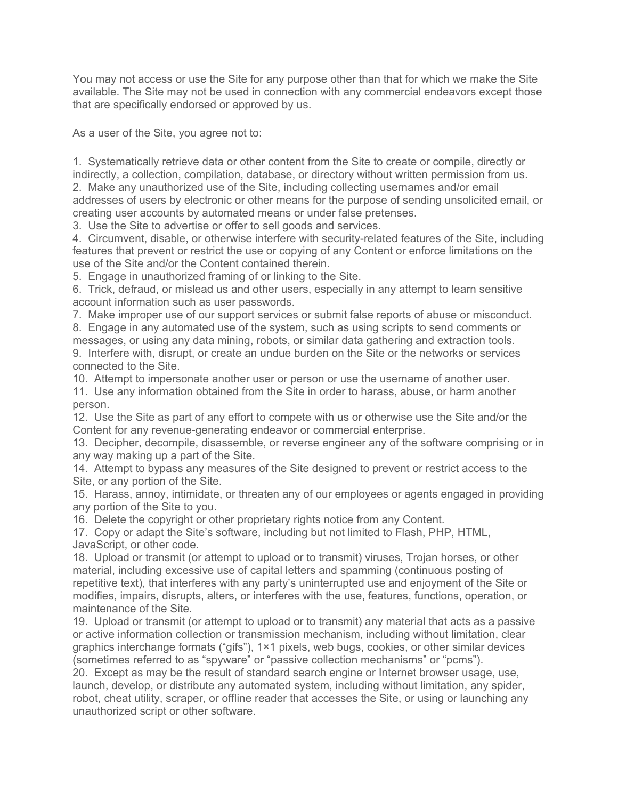You may not access or use the Site for any purpose other than that for which we make the Site available. The Site may not be used in connection with any commercial endeavors except those that are specifically endorsed or approved by us.

As a user of the Site, you agree not to:

1. Systematically retrieve data or other content from the Site to create or compile, directly or indirectly, a collection, compilation, database, or directory without written permission from us. 2. Make any unauthorized use of the Site, including collecting usernames and/or email addresses of users by electronic or other means for the purpose of sending unsolicited email, or creating user accounts by automated means or under false pretenses.

3. Use the Site to advertise or offer to sell goods and services.

4. Circumvent, disable, or otherwise interfere with security-related features of the Site, including features that prevent or restrict the use or copying of any Content or enforce limitations on the use of the Site and/or the Content contained therein.

5. Engage in unauthorized framing of or linking to the Site.

6. Trick, defraud, or mislead us and other users, especially in any attempt to learn sensitive account information such as user passwords.

7. Make improper use of our support services or submit false reports of abuse or misconduct.

8. Engage in any automated use of the system, such as using scripts to send comments or messages, or using any data mining, robots, or similar data gathering and extraction tools.

9. Interfere with, disrupt, or create an undue burden on the Site or the networks or services connected to the Site.

10. Attempt to impersonate another user or person or use the username of another user.

11. Use any information obtained from the Site in order to harass, abuse, or harm another person.

12. Use the Site as part of any effort to compete with us or otherwise use the Site and/or the Content for any revenue-generating endeavor or commercial enterprise.

13. Decipher, decompile, disassemble, or reverse engineer any of the software comprising or in any way making up a part of the Site.

14. Attempt to bypass any measures of the Site designed to prevent or restrict access to the Site, or any portion of the Site.

15. Harass, annoy, intimidate, or threaten any of our employees or agents engaged in providing any portion of the Site to you.

16. Delete the copyright or other proprietary rights notice from any Content.

17. Copy or adapt the Site's software, including but not limited to Flash, PHP, HTML, JavaScript, or other code.

18. Upload or transmit (or attempt to upload or to transmit) viruses, Trojan horses, or other material, including excessive use of capital letters and spamming (continuous posting of repetitive text), that interferes with any party's uninterrupted use and enjoyment of the Site or modifies, impairs, disrupts, alters, or interferes with the use, features, functions, operation, or maintenance of the Site.

19. Upload or transmit (or attempt to upload or to transmit) any material that acts as a passive or active information collection or transmission mechanism, including without limitation, clear graphics interchange formats ("gifs"), 1×1 pixels, web bugs, cookies, or other similar devices (sometimes referred to as "spyware" or "passive collection mechanisms" or "pcms").

20. Except as may be the result of standard search engine or Internet browser usage, use, launch, develop, or distribute any automated system, including without limitation, any spider, robot, cheat utility, scraper, or offline reader that accesses the Site, or using or launching any unauthorized script or other software.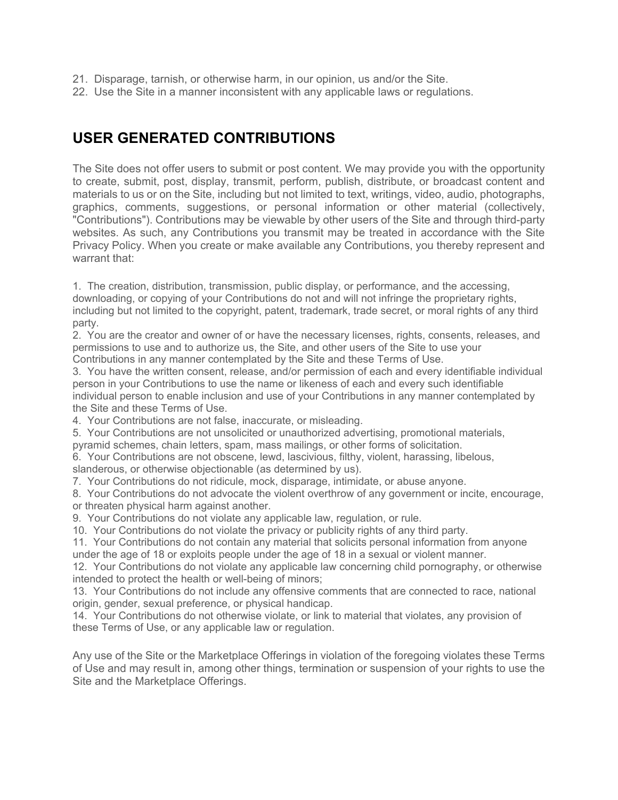- 21. Disparage, tarnish, or otherwise harm, in our opinion, us and/or the Site.
- 22. Use the Site in a manner inconsistent with any applicable laws or regulations.

# **USER GENERATED CONTRIBUTIONS**

The Site does not offer users to submit or post content. We may provide you with the opportunity to create, submit, post, display, transmit, perform, publish, distribute, or broadcast content and materials to us or on the Site, including but not limited to text, writings, video, audio, photographs, graphics, comments, suggestions, or personal information or other material (collectively, "Contributions"). Contributions may be viewable by other users of the Site and through third-party websites. As such, any Contributions you transmit may be treated in accordance with the Site Privacy Policy. When you create or make available any Contributions, you thereby represent and warrant that:

1. The creation, distribution, transmission, public display, or performance, and the accessing, downloading, or copying of your Contributions do not and will not infringe the proprietary rights, including but not limited to the copyright, patent, trademark, trade secret, or moral rights of any third party.

2. You are the creator and owner of or have the necessary licenses, rights, consents, releases, and permissions to use and to authorize us, the Site, and other users of the Site to use your Contributions in any manner contemplated by the Site and these Terms of Use.

3. You have the written consent, release, and/or permission of each and every identifiable individual person in your Contributions to use the name or likeness of each and every such identifiable individual person to enable inclusion and use of your Contributions in any manner contemplated by the Site and these Terms of Use.

4. Your Contributions are not false, inaccurate, or misleading.

5. Your Contributions are not unsolicited or unauthorized advertising, promotional materials, pyramid schemes, chain letters, spam, mass mailings, or other forms of solicitation.

6. Your Contributions are not obscene, lewd, lascivious, filthy, violent, harassing, libelous, slanderous, or otherwise objectionable (as determined by us).

7. Your Contributions do not ridicule, mock, disparage, intimidate, or abuse anyone.

8. Your Contributions do not advocate the violent overthrow of any government or incite, encourage, or threaten physical harm against another.

9. Your Contributions do not violate any applicable law, regulation, or rule.

10. Your Contributions do not violate the privacy or publicity rights of any third party.

11. Your Contributions do not contain any material that solicits personal information from anyone under the age of 18 or exploits people under the age of 18 in a sexual or violent manner.

12. Your Contributions do not violate any applicable law concerning child pornography, or otherwise intended to protect the health or well-being of minors;

13. Your Contributions do not include any offensive comments that are connected to race, national origin, gender, sexual preference, or physical handicap.

14. Your Contributions do not otherwise violate, or link to material that violates, any provision of these Terms of Use, or any applicable law or regulation.

Any use of the Site or the Marketplace Offerings in violation of the foregoing violates these Terms of Use and may result in, among other things, termination or suspension of your rights to use the Site and the Marketplace Offerings.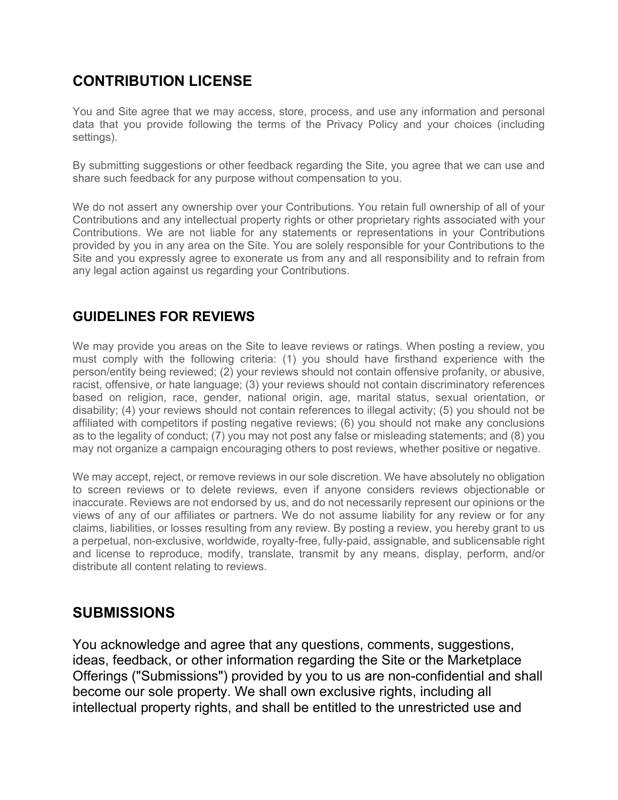# **CONTRIBUTION LICENSE**

You and Site agree that we may access, store, process, and use any information and personal data that you provide following the terms of the Privacy Policy and your choices (including settings).

By submitting suggestions or other feedback regarding the Site, you agree that we can use and share such feedback for any purpose without compensation to you.

We do not assert any ownership over your Contributions. You retain full ownership of all of your Contributions and any intellectual property rights or other proprietary rights associated with your Contributions. We are not liable for any statements or representations in your Contributions provided by you in any area on the Site. You are solely responsible for your Contributions to the Site and you expressly agree to exonerate us from any and all responsibility and to refrain from any legal action against us regarding your Contributions.

#### **GUIDELINES FOR REVIEWS**

We may provide you areas on the Site to leave reviews or ratings. When posting a review, you must comply with the following criteria: (1) you should have firsthand experience with the person/entity being reviewed; (2) your reviews should not contain offensive profanity, or abusive, racist, offensive, or hate language; (3) your reviews should not contain discriminatory references based on religion, race, gender, national origin, age, marital status, sexual orientation, or disability; (4) your reviews should not contain references to illegal activity; (5) you should not be affiliated with competitors if posting negative reviews; (6) you should not make any conclusions as to the legality of conduct; (7) you may not post any false or misleading statements; and (8) you may not organize a campaign encouraging others to post reviews, whether positive or negative.

We may accept, reject, or remove reviews in our sole discretion. We have absolutely no obligation to screen reviews or to delete reviews, even if anyone considers reviews objectionable or inaccurate. Reviews are not endorsed by us, and do not necessarily represent our opinions or the views of any of our affiliates or partners. We do not assume liability for any review or for any claims, liabilities, or losses resulting from any review. By posting a review, you hereby grant to us a perpetual, non-exclusive, worldwide, royalty-free, fully-paid, assignable, and sublicensable right and license to reproduce, modify, translate, transmit by any means, display, perform, and/or distribute all content relating to reviews.

#### **SUBMISSIONS**

You acknowledge and agree that any questions, comments, suggestions, ideas, feedback, or other information regarding the Site or the Marketplace Offerings ("Submissions") provided by you to us are non-confidential and shall become our sole property. We shall own exclusive rights, including all intellectual property rights, and shall be entitled to the unrestricted use and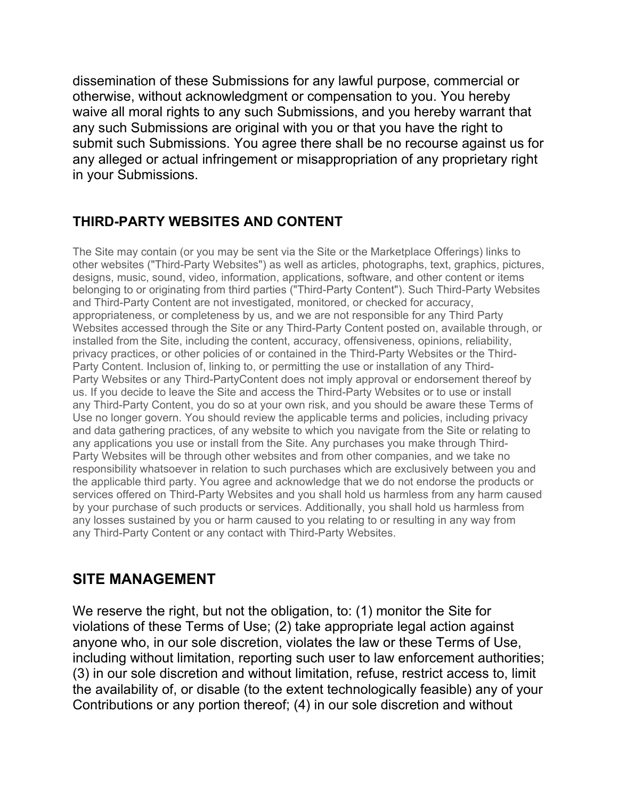dissemination of these Submissions for any lawful purpose, commercial or otherwise, without acknowledgment or compensation to you. You hereby waive all moral rights to any such Submissions, and you hereby warrant that any such Submissions are original with you or that you have the right to submit such Submissions. You agree there shall be no recourse against us for any alleged or actual infringement or misappropriation of any proprietary right in your Submissions.

### **THIRD-PARTY WEBSITES AND CONTENT**

The Site may contain (or you may be sent via the Site or the Marketplace Offerings) links to other websites ("Third-Party Websites") as well as articles, photographs, text, graphics, pictures, designs, music, sound, video, information, applications, software, and other content or items belonging to or originating from third parties ("Third-Party Content"). Such Third-Party Websites and Third-Party Content are not investigated, monitored, or checked for accuracy, appropriateness, or completeness by us, and we are not responsible for any Third Party Websites accessed through the Site or any Third-Party Content posted on, available through, or installed from the Site, including the content, accuracy, offensiveness, opinions, reliability, privacy practices, or other policies of or contained in the Third-Party Websites or the Third-Party Content. Inclusion of, linking to, or permitting the use or installation of any Third-Party Websites or any Third-PartyContent does not imply approval or endorsement thereof by us. If you decide to leave the Site and access the Third-Party Websites or to use or install any Third-Party Content, you do so at your own risk, and you should be aware these Terms of Use no longer govern. You should review the applicable terms and policies, including privacy and data gathering practices, of any website to which you navigate from the Site or relating to any applications you use or install from the Site. Any purchases you make through Third-Party Websites will be through other websites and from other companies, and we take no responsibility whatsoever in relation to such purchases which are exclusively between you and the applicable third party. You agree and acknowledge that we do not endorse the products or services offered on Third-Party Websites and you shall hold us harmless from any harm caused by your purchase of such products or services. Additionally, you shall hold us harmless from any losses sustained by you or harm caused to you relating to or resulting in any way from any Third-Party Content or any contact with Third-Party Websites.

## **SITE MANAGEMENT**

We reserve the right, but not the obligation, to: (1) monitor the Site for violations of these Terms of Use; (2) take appropriate legal action against anyone who, in our sole discretion, violates the law or these Terms of Use, including without limitation, reporting such user to law enforcement authorities; (3) in our sole discretion and without limitation, refuse, restrict access to, limit the availability of, or disable (to the extent technologically feasible) any of your Contributions or any portion thereof; (4) in our sole discretion and without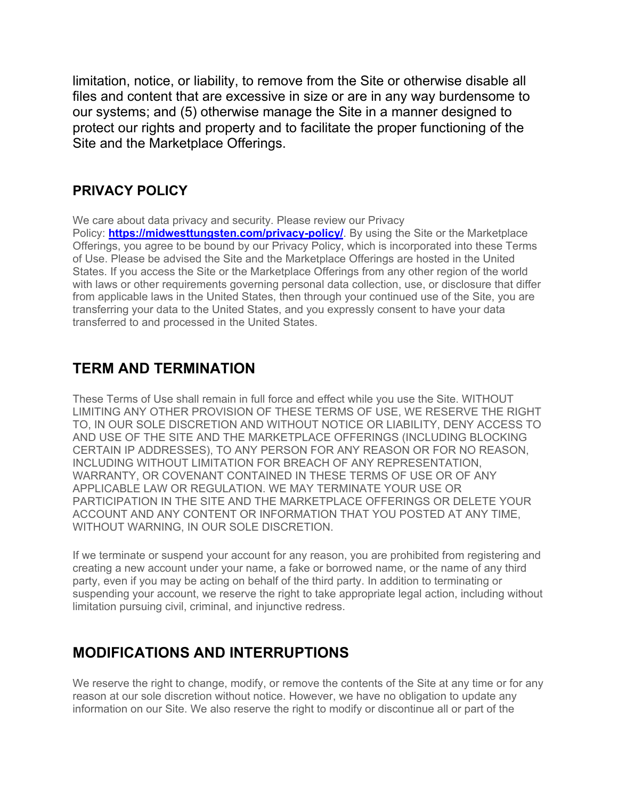limitation, notice, or liability, to remove from the Site or otherwise disable all files and content that are excessive in size or are in any way burdensome to our systems; and (5) otherwise manage the Site in a manner designed to protect our rights and property and to facilitate the proper functioning of the Site and the Marketplace Offerings.

#### **PRIVACY POLICY**

We care about data privacy and security. Please review our Privacy

Policy: **https://midwesttungsten.com/privacy-policy/**. By using the Site or the Marketplace Offerings, you agree to be bound by our Privacy Policy, which is incorporated into these Terms of Use. Please be advised the Site and the Marketplace Offerings are hosted in the United States. If you access the Site or the Marketplace Offerings from any other region of the world with laws or other requirements governing personal data collection, use, or disclosure that differ from applicable laws in the United States, then through your continued use of the Site, you are transferring your data to the United States, and you expressly consent to have your data transferred to and processed in the United States.

### **TERM AND TERMINATION**

These Terms of Use shall remain in full force and effect while you use the Site. WITHOUT LIMITING ANY OTHER PROVISION OF THESE TERMS OF USE, WE RESERVE THE RIGHT TO, IN OUR SOLE DISCRETION AND WITHOUT NOTICE OR LIABILITY, DENY ACCESS TO AND USE OF THE SITE AND THE MARKETPLACE OFFERINGS (INCLUDING BLOCKING CERTAIN IP ADDRESSES), TO ANY PERSON FOR ANY REASON OR FOR NO REASON, INCLUDING WITHOUT LIMITATION FOR BREACH OF ANY REPRESENTATION, WARRANTY, OR COVENANT CONTAINED IN THESE TERMS OF USE OR OF ANY APPLICABLE LAW OR REGULATION. WE MAY TERMINATE YOUR USE OR PARTICIPATION IN THE SITE AND THE MARKETPLACE OFFERINGS OR DELETE YOUR ACCOUNT AND ANY CONTENT OR INFORMATION THAT YOU POSTED AT ANY TIME, WITHOUT WARNING, IN OUR SOLE DISCRETION.

If we terminate or suspend your account for any reason, you are prohibited from registering and creating a new account under your name, a fake or borrowed name, or the name of any third party, even if you may be acting on behalf of the third party. In addition to terminating or suspending your account, we reserve the right to take appropriate legal action, including without limitation pursuing civil, criminal, and injunctive redress.

## **MODIFICATIONS AND INTERRUPTIONS**

We reserve the right to change, modify, or remove the contents of the Site at any time or for any reason at our sole discretion without notice. However, we have no obligation to update any information on our Site. We also reserve the right to modify or discontinue all or part of the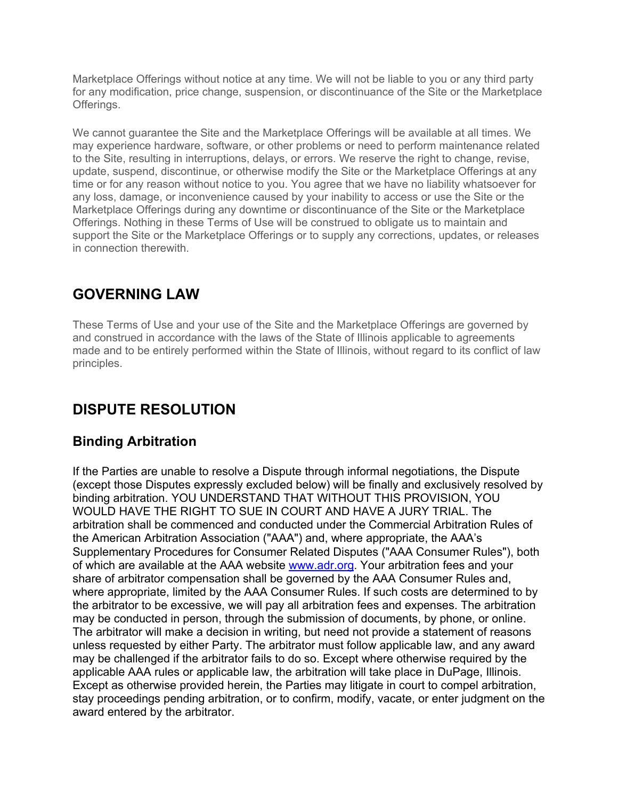Marketplace Offerings without notice at any time. We will not be liable to you or any third party for any modification, price change, suspension, or discontinuance of the Site or the Marketplace Offerings.

We cannot guarantee the Site and the Marketplace Offerings will be available at all times. We may experience hardware, software, or other problems or need to perform maintenance related to the Site, resulting in interruptions, delays, or errors. We reserve the right to change, revise, update, suspend, discontinue, or otherwise modify the Site or the Marketplace Offerings at any time or for any reason without notice to you. You agree that we have no liability whatsoever for any loss, damage, or inconvenience caused by your inability to access or use the Site or the Marketplace Offerings during any downtime or discontinuance of the Site or the Marketplace Offerings. Nothing in these Terms of Use will be construed to obligate us to maintain and support the Site or the Marketplace Offerings or to supply any corrections, updates, or releases in connection therewith.

### **GOVERNING LAW**

These Terms of Use and your use of the Site and the Marketplace Offerings are governed by and construed in accordance with the laws of the State of Illinois applicable to agreements made and to be entirely performed within the State of Illinois, without regard to its conflict of law principles.

# **DISPUTE RESOLUTION**

#### **Binding Arbitration**

If the Parties are unable to resolve a Dispute through informal negotiations, the Dispute (except those Disputes expressly excluded below) will be finally and exclusively resolved by binding arbitration. YOU UNDERSTAND THAT WITHOUT THIS PROVISION, YOU WOULD HAVE THE RIGHT TO SUE IN COURT AND HAVE A JURY TRIAL. The arbitration shall be commenced and conducted under the Commercial Arbitration Rules of the American Arbitration Association ("AAA") and, where appropriate, the AAA's Supplementary Procedures for Consumer Related Disputes ("AAA Consumer Rules"), both of which are available at the AAA website www.adr.org. Your arbitration fees and your share of arbitrator compensation shall be governed by the AAA Consumer Rules and, where appropriate, limited by the AAA Consumer Rules. If such costs are determined to by the arbitrator to be excessive, we will pay all arbitration fees and expenses. The arbitration may be conducted in person, through the submission of documents, by phone, or online. The arbitrator will make a decision in writing, but need not provide a statement of reasons unless requested by either Party. The arbitrator must follow applicable law, and any award may be challenged if the arbitrator fails to do so. Except where otherwise required by the applicable AAA rules or applicable law, the arbitration will take place in DuPage, Illinois. Except as otherwise provided herein, the Parties may litigate in court to compel arbitration, stay proceedings pending arbitration, or to confirm, modify, vacate, or enter judgment on the award entered by the arbitrator.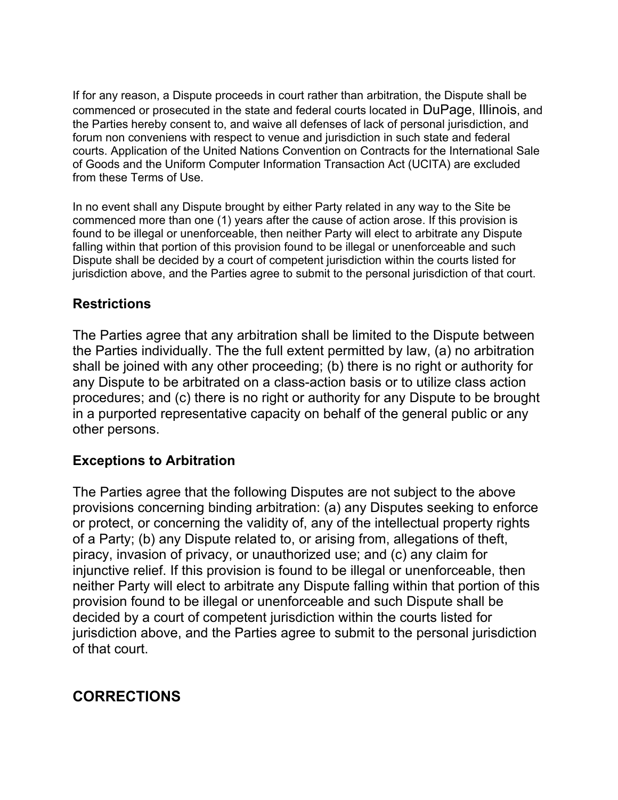If for any reason, a Dispute proceeds in court rather than arbitration, the Dispute shall be commenced or prosecuted in the state and federal courts located in DuPage, Illinois, and the Parties hereby consent to, and waive all defenses of lack of personal jurisdiction, and forum non conveniens with respect to venue and jurisdiction in such state and federal courts. Application of the United Nations Convention on Contracts for the International Sale of Goods and the Uniform Computer Information Transaction Act (UCITA) are excluded from these Terms of Use.

In no event shall any Dispute brought by either Party related in any way to the Site be commenced more than one (1) years after the cause of action arose. If this provision is found to be illegal or unenforceable, then neither Party will elect to arbitrate any Dispute falling within that portion of this provision found to be illegal or unenforceable and such Dispute shall be decided by a court of competent jurisdiction within the courts listed for jurisdiction above, and the Parties agree to submit to the personal jurisdiction of that court.

#### **Restrictions**

The Parties agree that any arbitration shall be limited to the Dispute between the Parties individually. The the full extent permitted by law, (a) no arbitration shall be joined with any other proceeding; (b) there is no right or authority for any Dispute to be arbitrated on a class-action basis or to utilize class action procedures; and (c) there is no right or authority for any Dispute to be brought in a purported representative capacity on behalf of the general public or any other persons.

#### **Exceptions to Arbitration**

The Parties agree that the following Disputes are not subject to the above provisions concerning binding arbitration: (a) any Disputes seeking to enforce or protect, or concerning the validity of, any of the intellectual property rights of a Party; (b) any Dispute related to, or arising from, allegations of theft, piracy, invasion of privacy, or unauthorized use; and (c) any claim for injunctive relief. If this provision is found to be illegal or unenforceable, then neither Party will elect to arbitrate any Dispute falling within that portion of this provision found to be illegal or unenforceable and such Dispute shall be decided by a court of competent jurisdiction within the courts listed for jurisdiction above, and the Parties agree to submit to the personal jurisdiction of that court.

# **CORRECTIONS**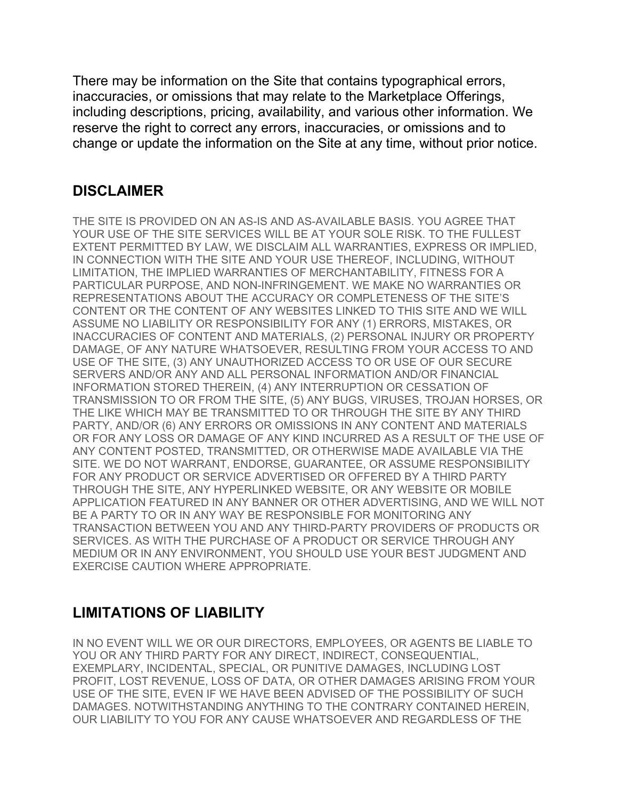There may be information on the Site that contains typographical errors, inaccuracies, or omissions that may relate to the Marketplace Offerings, including descriptions, pricing, availability, and various other information. We reserve the right to correct any errors, inaccuracies, or omissions and to change or update the information on the Site at any time, without prior notice.

# **DISCLAIMER**

THE SITE IS PROVIDED ON AN AS-IS AND AS-AVAILABLE BASIS. YOU AGREE THAT YOUR USE OF THE SITE SERVICES WILL BE AT YOUR SOLE RISK. TO THE FULLEST EXTENT PERMITTED BY LAW, WE DISCLAIM ALL WARRANTIES, EXPRESS OR IMPLIED, IN CONNECTION WITH THE SITE AND YOUR USE THEREOF, INCLUDING, WITHOUT LIMITATION, THE IMPLIED WARRANTIES OF MERCHANTABILITY, FITNESS FOR A PARTICULAR PURPOSE, AND NON-INFRINGEMENT. WE MAKE NO WARRANTIES OR REPRESENTATIONS ABOUT THE ACCURACY OR COMPLETENESS OF THE SITE'S CONTENT OR THE CONTENT OF ANY WEBSITES LINKED TO THIS SITE AND WE WILL ASSUME NO LIABILITY OR RESPONSIBILITY FOR ANY (1) ERRORS, MISTAKES, OR INACCURACIES OF CONTENT AND MATERIALS, (2) PERSONAL INJURY OR PROPERTY DAMAGE, OF ANY NATURE WHATSOEVER, RESULTING FROM YOUR ACCESS TO AND USE OF THE SITE, (3) ANY UNAUTHORIZED ACCESS TO OR USE OF OUR SECURE SERVERS AND/OR ANY AND ALL PERSONAL INFORMATION AND/OR FINANCIAL INFORMATION STORED THEREIN, (4) ANY INTERRUPTION OR CESSATION OF TRANSMISSION TO OR FROM THE SITE, (5) ANY BUGS, VIRUSES, TROJAN HORSES, OR THE LIKE WHICH MAY BE TRANSMITTED TO OR THROUGH THE SITE BY ANY THIRD PARTY, AND/OR (6) ANY ERRORS OR OMISSIONS IN ANY CONTENT AND MATERIALS OR FOR ANY LOSS OR DAMAGE OF ANY KIND INCURRED AS A RESULT OF THE USE OF ANY CONTENT POSTED, TRANSMITTED, OR OTHERWISE MADE AVAILABLE VIA THE SITE. WE DO NOT WARRANT, ENDORSE, GUARANTEE, OR ASSUME RESPONSIBILITY FOR ANY PRODUCT OR SERVICE ADVERTISED OR OFFERED BY A THIRD PARTY THROUGH THE SITE, ANY HYPERLINKED WEBSITE, OR ANY WEBSITE OR MOBILE APPLICATION FEATURED IN ANY BANNER OR OTHER ADVERTISING, AND WE WILL NOT BE A PARTY TO OR IN ANY WAY BE RESPONSIBLE FOR MONITORING ANY TRANSACTION BETWEEN YOU AND ANY THIRD-PARTY PROVIDERS OF PRODUCTS OR SERVICES. AS WITH THE PURCHASE OF A PRODUCT OR SERVICE THROUGH ANY MEDIUM OR IN ANY ENVIRONMENT, YOU SHOULD USE YOUR BEST JUDGMENT AND EXERCISE CAUTION WHERE APPROPRIATE.

# **LIMITATIONS OF LIABILITY**

IN NO EVENT WILL WE OR OUR DIRECTORS, EMPLOYEES, OR AGENTS BE LIABLE TO YOU OR ANY THIRD PARTY FOR ANY DIRECT, INDIRECT, CONSEQUENTIAL, EXEMPLARY, INCIDENTAL, SPECIAL, OR PUNITIVE DAMAGES, INCLUDING LOST PROFIT, LOST REVENUE, LOSS OF DATA, OR OTHER DAMAGES ARISING FROM YOUR USE OF THE SITE, EVEN IF WE HAVE BEEN ADVISED OF THE POSSIBILITY OF SUCH DAMAGES. NOTWITHSTANDING ANYTHING TO THE CONTRARY CONTAINED HEREIN, OUR LIABILITY TO YOU FOR ANY CAUSE WHATSOEVER AND REGARDLESS OF THE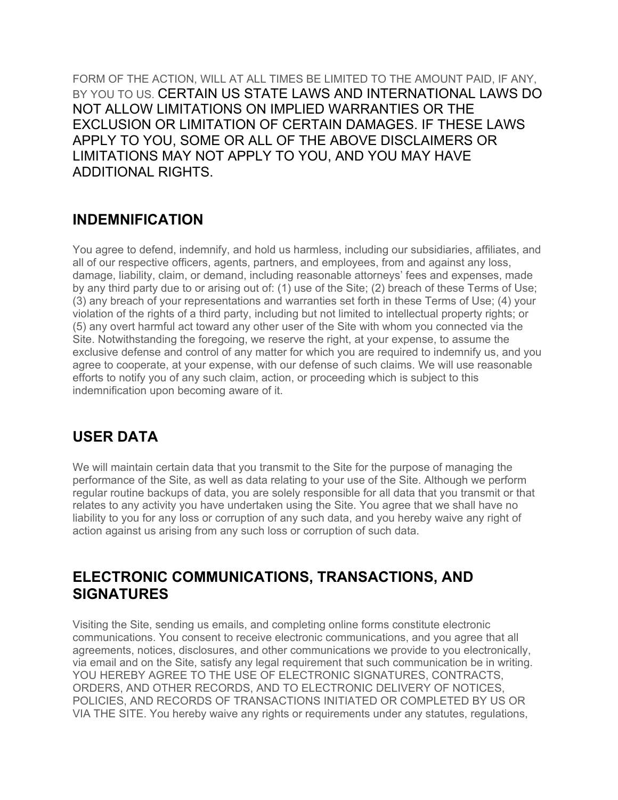FORM OF THE ACTION, WILL AT ALL TIMES BE LIMITED TO THE AMOUNT PAID, IF ANY, BY YOU TO US. CERTAIN US STATE LAWS AND INTERNATIONAL LAWS DO NOT ALLOW LIMITATIONS ON IMPLIED WARRANTIES OR THE EXCLUSION OR LIMITATION OF CERTAIN DAMAGES. IF THESE LAWS APPLY TO YOU, SOME OR ALL OF THE ABOVE DISCLAIMERS OR LIMITATIONS MAY NOT APPLY TO YOU, AND YOU MAY HAVE ADDITIONAL RIGHTS.

#### **INDEMNIFICATION**

You agree to defend, indemnify, and hold us harmless, including our subsidiaries, affiliates, and all of our respective officers, agents, partners, and employees, from and against any loss, damage, liability, claim, or demand, including reasonable attorneys' fees and expenses, made by any third party due to or arising out of: (1) use of the Site; (2) breach of these Terms of Use; (3) any breach of your representations and warranties set forth in these Terms of Use; (4) your violation of the rights of a third party, including but not limited to intellectual property rights; or (5) any overt harmful act toward any other user of the Site with whom you connected via the Site. Notwithstanding the foregoing, we reserve the right, at your expense, to assume the exclusive defense and control of any matter for which you are required to indemnify us, and you agree to cooperate, at your expense, with our defense of such claims. We will use reasonable efforts to notify you of any such claim, action, or proceeding which is subject to this indemnification upon becoming aware of it.

## **USER DATA**

We will maintain certain data that you transmit to the Site for the purpose of managing the performance of the Site, as well as data relating to your use of the Site. Although we perform regular routine backups of data, you are solely responsible for all data that you transmit or that relates to any activity you have undertaken using the Site. You agree that we shall have no liability to you for any loss or corruption of any such data, and you hereby waive any right of action against us arising from any such loss or corruption of such data.

### **ELECTRONIC COMMUNICATIONS, TRANSACTIONS, AND SIGNATURES**

Visiting the Site, sending us emails, and completing online forms constitute electronic communications. You consent to receive electronic communications, and you agree that all agreements, notices, disclosures, and other communications we provide to you electronically, via email and on the Site, satisfy any legal requirement that such communication be in writing. YOU HEREBY AGREE TO THE USE OF ELECTRONIC SIGNATURES, CONTRACTS, ORDERS, AND OTHER RECORDS, AND TO ELECTRONIC DELIVERY OF NOTICES, POLICIES, AND RECORDS OF TRANSACTIONS INITIATED OR COMPLETED BY US OR VIA THE SITE. You hereby waive any rights or requirements under any statutes, regulations,